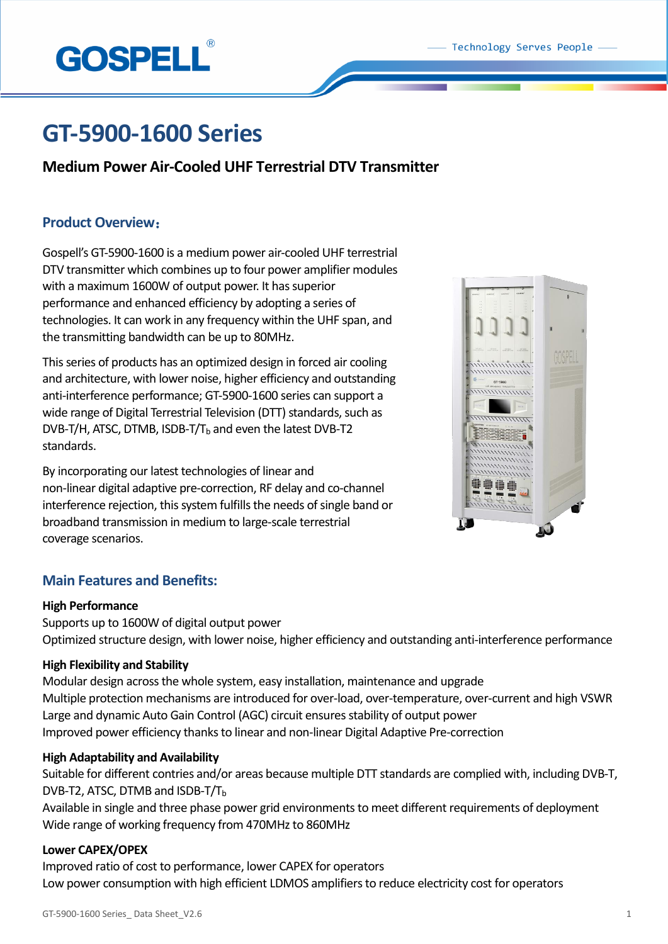

# **GT-5900-1600 Series**

# **Medium Power Air-Cooled UHF Terrestrial DTV Transmitter**

# **Product Overview**:

Gospell's GT-5900-1600 is a medium power air-cooled UHF terrestrial DTV transmitter which combines up to four power amplifier modules with a maximum 1600W of output power. It has superior performance and enhanced efficiency by adopting a series of technologies. It can work in any frequency within the UHF span, and the transmitting bandwidth can be up to 80MHz.

This series of products has an optimized design in forced air cooling and architecture, with lower noise, higher efficiency and outstanding anti-interference performance; GT-5900-1600 series can support a wide range of Digital Terrestrial Television (DTT) standards, such as DVB-T/H, ATSC, DTMB, ISDB-T/T $_b$  and even the latest DVB-T2 standards.

By incorporating our latest technologies of linear and non-linear digital adaptive pre-correction, RF delay and co-channel interference rejection, this system fulfills the needs of single band or broadband transmission in medium to large-scale terrestrial coverage scenarios.



# **Main Features and Benefits:**

## **High Performance**

Supports up to 1600W of digital output power Optimized structure design, with lower noise, higher efficiency and outstanding anti-interference performance

## **High Flexibility and Stability**

Modular design across the whole system, easy installation, maintenance and upgrade Multiple protection mechanisms are introduced for over-load, over-temperature, over-current and high VSWR Large and dynamic Auto Gain Control (AGC) circuit ensures stability of output power Improved power efficiency thanks to linear and non-linear Digital Adaptive Pre-correction

## **High Adaptability and Availability**

Suitable for different contries and/or areas because multiple DTT standards are complied with, including DVB-T, DVB-T2, ATSC, DTMB and ISDB-T/T $_{\text{b}}$ 

Available in single and three phase power grid environments to meet different requirements of deployment Wide range of working frequency from 470MHz to 860MHz

## **Lower CAPEX/OPEX**

Improved ratio of cost to performance, lower CAPEX for operators Low power consumption with high efficient LDMOS amplifiers to reduce electricity cost for operators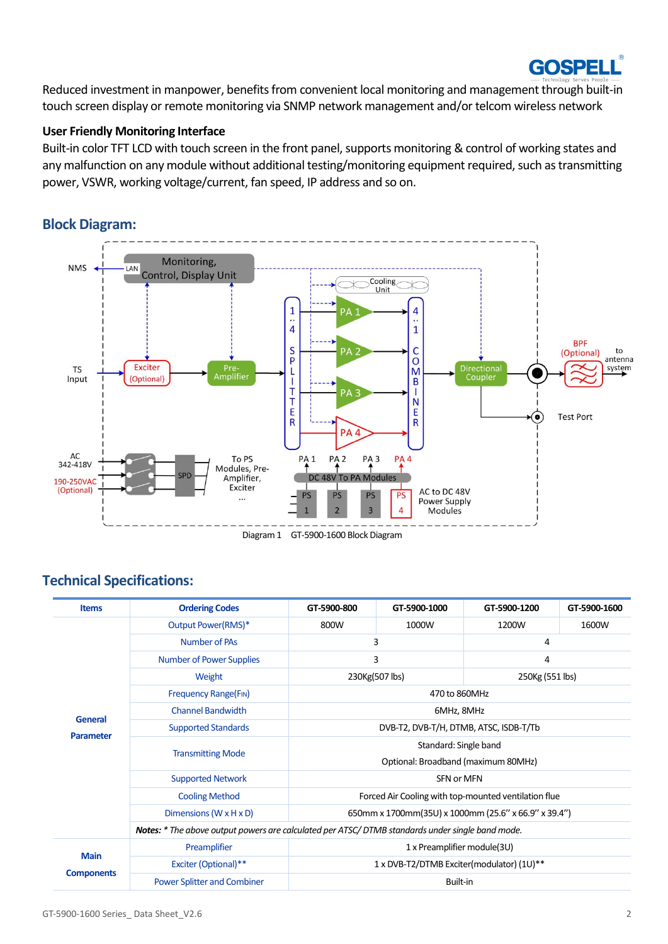

Reduced investment in manpower, benefits from convenient local monitoring and management through built-in touch screen display or remote monitoring via SNMP network management and/or telcom wireless network

## **User Friendly Monitoring Interface**

Built-in color TFT LCD with touch screen in the front panel, supports monitoring & control of working states and any malfunction on any module without additional testing/monitoring equipment required, such as transmitting power, VSWR, working voltage/current, fan speed, IP address and so on.

# **Block Diagram:**



Diagram 1 GT-5900-1600 Block Diagram

# **Technical Specifications:**

| <b>Items</b>      | <b>Ordering Codes</b>                                                                           | GT-5900-800                                          | GT-5900-1000 | GT-5900-1200    | GT-5900-1600 |  |
|-------------------|-------------------------------------------------------------------------------------------------|------------------------------------------------------|--------------|-----------------|--------------|--|
|                   | Output Power(RMS)*                                                                              | 800W                                                 | 1000W        | 1200W           | 1600W        |  |
|                   | <b>Number of PAs</b>                                                                            | 3                                                    |              | 4               |              |  |
|                   | <b>Number of Power Supplies</b>                                                                 | 3                                                    |              | 4               |              |  |
|                   | Weight                                                                                          | 230Kg(507 lbs)                                       |              | 250Kg (551 lbs) |              |  |
|                   | <b>Frequency Range(FIN)</b>                                                                     | 470 to 860MHz                                        |              |                 |              |  |
| General           | <b>Channel Bandwidth</b>                                                                        | 6MHz, 8MHz                                           |              |                 |              |  |
| <b>Parameter</b>  | <b>Supported Standards</b>                                                                      | DVB-T2, DVB-T/H, DTMB, ATSC, ISDB-T/Tb               |              |                 |              |  |
|                   | <b>Transmitting Mode</b>                                                                        | Standard: Single band                                |              |                 |              |  |
|                   |                                                                                                 | Optional: Broadband (maximum 80MHz)                  |              |                 |              |  |
|                   | <b>Supported Network</b>                                                                        | SFN or MFN                                           |              |                 |              |  |
|                   | <b>Cooling Method</b>                                                                           | Forced Air Cooling with top-mounted ventilation flue |              |                 |              |  |
|                   | Dimensions (W x H x D)                                                                          | 650mm x 1700mm(35U) x 1000mm (25.6" x 66.9" x 39.4") |              |                 |              |  |
|                   | Notes: * The above output powers are calculated per ATSC/DTMB standards under single band mode. |                                                      |              |                 |              |  |
| <b>Main</b>       | Preamplifier                                                                                    | 1 x Preamplifier module(3U)                          |              |                 |              |  |
|                   | <b>Exciter (Optional)**</b>                                                                     | 1 x DVB-T2/DTMB Exciter(modulator) (1U)**            |              |                 |              |  |
| <b>Components</b> | <b>Power Splitter and Combiner</b>                                                              | Built-in                                             |              |                 |              |  |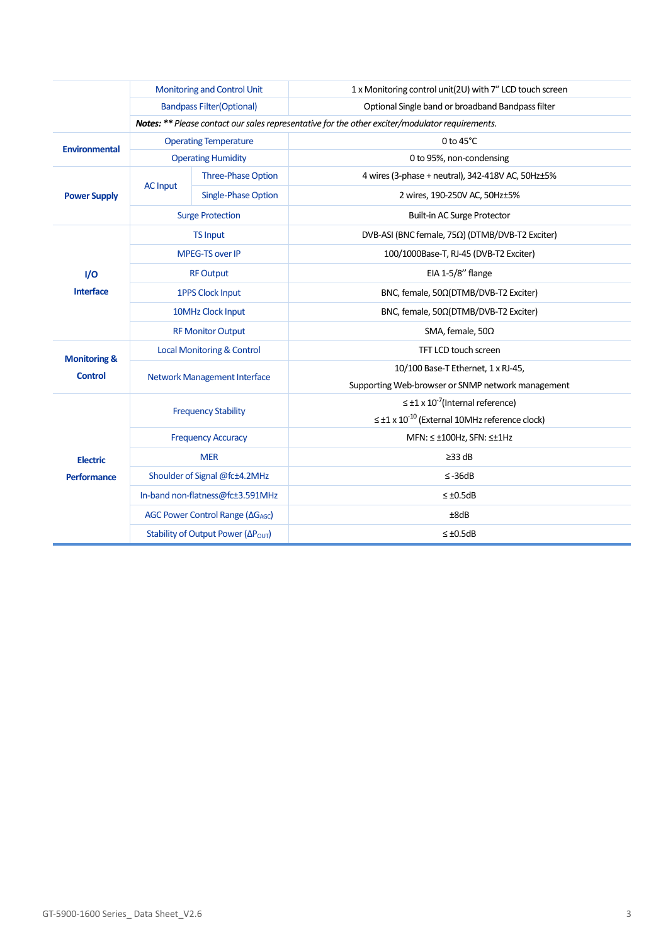|                                           | <b>Monitoring and Control Unit</b>                                                              |                            | 1 x Monitoring control unit(2U) with 7" LCD touch screen      |  |  |
|-------------------------------------------|-------------------------------------------------------------------------------------------------|----------------------------|---------------------------------------------------------------|--|--|
|                                           | <b>Bandpass Filter (Optional)</b>                                                               |                            | Optional Single band or broadband Bandpass filter             |  |  |
|                                           | Notes: ** Please contact our sales representative for the other exciter/modulator requirements. |                            |                                                               |  |  |
| <b>Environmental</b>                      | <b>Operating Temperature</b>                                                                    |                            | 0 to $45^{\circ}$ C                                           |  |  |
|                                           | <b>Operating Humidity</b>                                                                       |                            | 0 to 95%, non-condensing                                      |  |  |
| <b>Power Supply</b>                       | <b>AC Input</b>                                                                                 | <b>Three-Phase Option</b>  | 4 wires (3-phase + neutral), 342-418V AC, 50Hz±5%             |  |  |
|                                           |                                                                                                 | <b>Single-Phase Option</b> | 2 wires, 190-250V AC, 50Hz±5%                                 |  |  |
|                                           | <b>Surge Protection</b>                                                                         |                            | Built-in AC Surge Protector                                   |  |  |
| I/O                                       | <b>TS Input</b>                                                                                 |                            | DVB-ASI (BNC female, 75Ω) (DTMB/DVB-T2 Exciter)               |  |  |
|                                           | <b>MPEG-TS over IP</b>                                                                          |                            | 100/1000Base-T, RJ-45 (DVB-T2 Exciter)                        |  |  |
|                                           | <b>RF Output</b>                                                                                |                            | EIA 1-5/8" flange                                             |  |  |
| Interface                                 | <b>1PPS Clock Input</b>                                                                         |                            | BNC, female, 50Ω(DTMB/DVB-T2 Exciter)                         |  |  |
|                                           | 10MHz Clock Input                                                                               |                            | BNC, female, 50Ω(DTMB/DVB-T2 Exciter)                         |  |  |
|                                           | <b>RF Monitor Output</b>                                                                        |                            | SMA, female, $50\Omega$                                       |  |  |
| <b>Monitoring &amp;</b><br><b>Control</b> | <b>Local Monitoring &amp; Control</b>                                                           |                            | TFT LCD touch screen                                          |  |  |
|                                           | <b>Network Management Interface</b>                                                             |                            | 10/100 Base-T Ethernet, 1 x RJ-45,                            |  |  |
|                                           |                                                                                                 |                            | Supporting Web-browser or SNMP network management             |  |  |
| <b>Electric</b><br><b>Performance</b>     | <b>Frequency Stability</b>                                                                      |                            | $\leq \pm 1 \times 10^{-7}$ (Internal reference)              |  |  |
|                                           |                                                                                                 |                            | $\leq \pm 1 \times 10^{-10}$ (External 10MHz reference clock) |  |  |
|                                           | <b>Frequency Accuracy</b>                                                                       |                            | MFN: ≤ ±100Hz, SFN: ≤±1Hz                                     |  |  |
|                                           | <b>MER</b>                                                                                      |                            | $\geq$ 33 dB                                                  |  |  |
|                                           | Shoulder of Signal @fc±4.2MHz                                                                   |                            | $\leq -36dB$                                                  |  |  |
|                                           | In-band non-flatness@fc±3.591MHz                                                                |                            | $\leq \pm 0.5$ dB                                             |  |  |
|                                           | AGC Power Control Range (ΔG <sub>AGC</sub> )                                                    |                            | ±8dB                                                          |  |  |
|                                           | Stability of Output Power (ΔΡ <sub>ΟυΤ</sub> )                                                  |                            | $\leq \pm 0.5$ dB                                             |  |  |